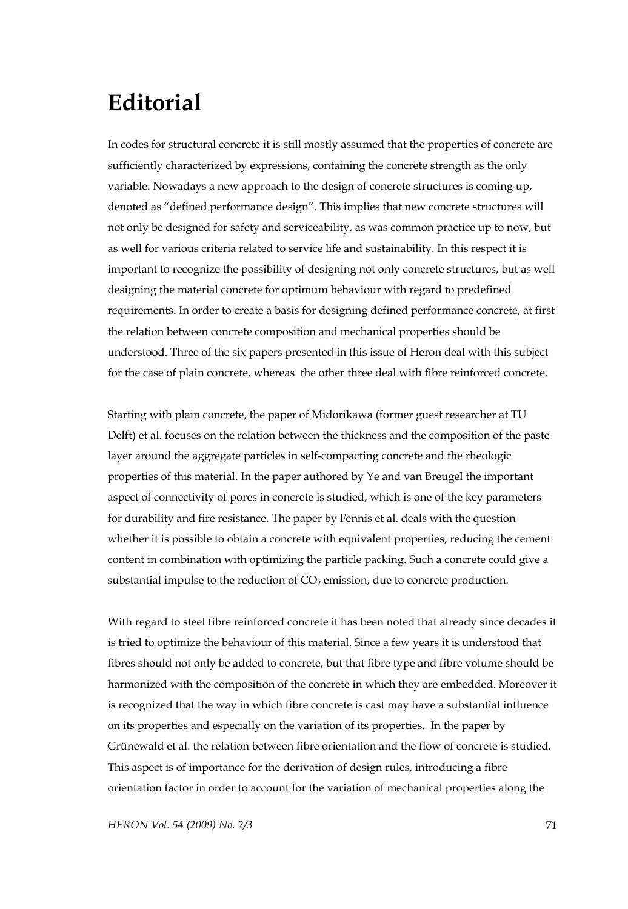## **Editorial**

In codes for structural concrete it is still mostly assumed that the properties of concrete are sufficiently characterized by expressions, containing the concrete strength as the only variable. Nowadays a new approach to the design of concrete structures is coming up, denoted as "defined performance design". This implies that new concrete structures will not only be designed for safety and serviceability, as was common practice up to now, but as well for various criteria related to service life and sustainability. In this respect it is important to recognize the possibility of designing not only concrete structures, but as well designing the material concrete for optimum behaviour with regard to predefined requirements. In order to create a basis for designing defined performance concrete, at first the relation between concrete composition and mechanical properties should be understood. Three of the six papers presented in this issue of Heron deal with this subject for the case of plain concrete, whereas the other three deal with fibre reinforced concrete.

Starting with plain concrete, the paper of Midorikawa (former guest researcher at TU Delft) et al. focuses on the relation between the thickness and the composition of the paste layer around the aggregate particles in self-compacting concrete and the rheologic properties of this material. In the paper authored by Ye and van Breugel the important aspect of connectivity of pores in concrete is studied, which is one of the key parameters for durability and fire resistance. The paper by Fennis et al. deals with the question whether it is possible to obtain a concrete with equivalent properties, reducing the cement content in combination with optimizing the particle packing. Such a concrete could give a substantial impulse to the reduction of  $CO<sub>2</sub>$  emission, due to concrete production.

With regard to steel fibre reinforced concrete it has been noted that already since decades it is tried to optimize the behaviour of this material. Since a few years it is understood that fibres should not only be added to concrete, but that fibre type and fibre volume should be harmonized with the composition of the concrete in which they are embedded. Moreover it is recognized that the way in which fibre concrete is cast may have a substantial influence on its properties and especially on the variation of its properties. In the paper by Grünewald et al. the relation between fibre orientation and the flow of concrete is studied. This aspect is of importance for the derivation of design rules, introducing a fibre orientation factor in order to account for the variation of mechanical properties along the